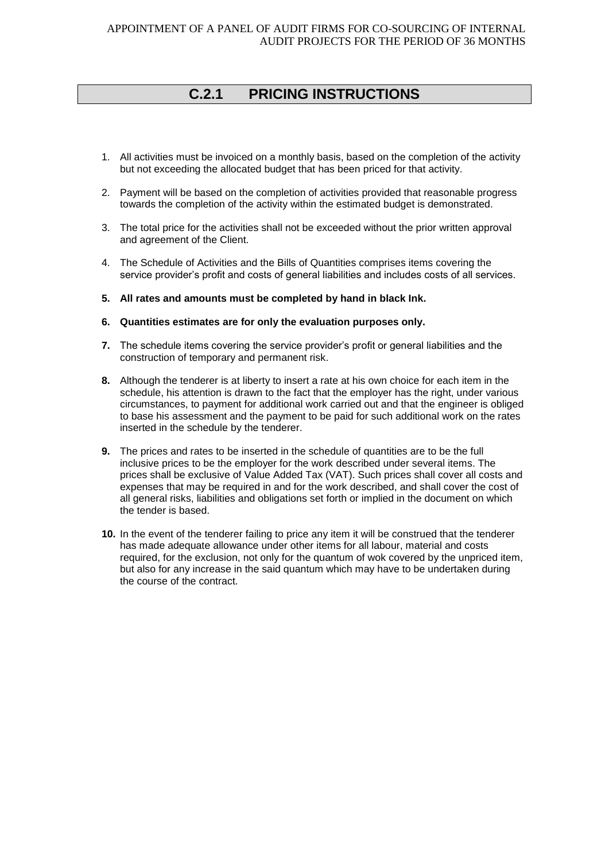## **C.2.1 PRICING INSTRUCTIONS**

- 1. All activities must be invoiced on a monthly basis, based on the completion of the activity but not exceeding the allocated budget that has been priced for that activity.
- 2. Payment will be based on the completion of activities provided that reasonable progress towards the completion of the activity within the estimated budget is demonstrated.
- 3. The total price for the activities shall not be exceeded without the prior written approval and agreement of the Client.
- 4. The Schedule of Activities and the Bills of Quantities comprises items covering the service provider's profit and costs of general liabilities and includes costs of all services.
- **5. All rates and amounts must be completed by hand in black Ink.**
- **6. Quantities estimates are for only the evaluation purposes only.**
- **7.** The schedule items covering the service provider's profit or general liabilities and the construction of temporary and permanent risk.
- **8.** Although the tenderer is at liberty to insert a rate at his own choice for each item in the schedule, his attention is drawn to the fact that the employer has the right, under various circumstances, to payment for additional work carried out and that the engineer is obliged to base his assessment and the payment to be paid for such additional work on the rates inserted in the schedule by the tenderer.
- **9.** The prices and rates to be inserted in the schedule of quantities are to be the full inclusive prices to be the employer for the work described under several items. The prices shall be exclusive of Value Added Tax (VAT). Such prices shall cover all costs and expenses that may be required in and for the work described, and shall cover the cost of all general risks, liabilities and obligations set forth or implied in the document on which the tender is based.
- **10.** In the event of the tenderer failing to price any item it will be construed that the tenderer has made adequate allowance under other items for all labour, material and costs required, for the exclusion, not only for the quantum of wok covered by the unpriced item, but also for any increase in the said quantum which may have to be undertaken during the course of the contract.